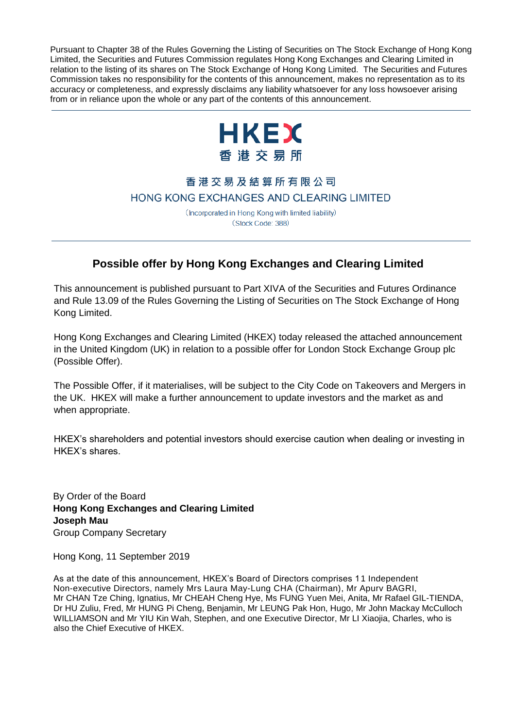Pursuant to Chapter 38 of the Rules Governing the Listing of Securities on The Stock Exchange of Hong Kong Limited, the Securities and Futures Commission regulates Hong Kong Exchanges and Clearing Limited in relation to the listing of its shares on The Stock Exchange of Hong Kong Limited. The Securities and Futures Commission takes no responsibility for the contents of this announcement, makes no representation as to its accuracy or completeness, and expressly disclaims any liability whatsoever for any loss howsoever arising from or in reliance upon the whole or any part of the contents of this announcement.



# 香港交易及結算所有限公司 HONG KONG EXCHANGES AND CLEARING LIMITED

(Incorporated in Hong Kong with limited liability) (Stock Code: 388)

# **Possible offer by Hong Kong Exchanges and Clearing Limited**

This announcement is published pursuant to Part XIVA of the Securities and Futures Ordinance and Rule 13.09 of the Rules Governing the Listing of Securities on The Stock Exchange of Hong Kong Limited.

Hong Kong Exchanges and Clearing Limited (HKEX) today released the attached announcement in the United Kingdom (UK) in relation to a possible offer for London Stock Exchange Group plc (Possible Offer).

The Possible Offer, if it materialises, will be subject to the City Code on Takeovers and Mergers in the UK. HKEX will make a further announcement to update investors and the market as and when appropriate.

HKEX's shareholders and potential investors should exercise caution when dealing or investing in HKEX's shares.

By Order of the Board **Hong Kong Exchanges and Clearing Limited Joseph Mau** Group Company Secretary

Hong Kong, 11 September 2019

As at the date of this announcement, HKEX's Board of Directors comprises 11 Independent Non-executive Directors, namely Mrs Laura May-Lung CHA (Chairman), Mr Apurv BAGRI, Mr CHAN Tze Ching, Ignatius, Mr CHEAH Cheng Hye, Ms FUNG Yuen Mei, Anita, Mr Rafael GIL-TIENDA, Dr HU Zuliu, Fred, Mr HUNG Pi Cheng, Benjamin, Mr LEUNG Pak Hon, Hugo, Mr John Mackay McCulloch WILLIAMSON and Mr YIU Kin Wah, Stephen, and one Executive Director, Mr LI Xiaojia, Charles, who is also the Chief Executive of HKEX.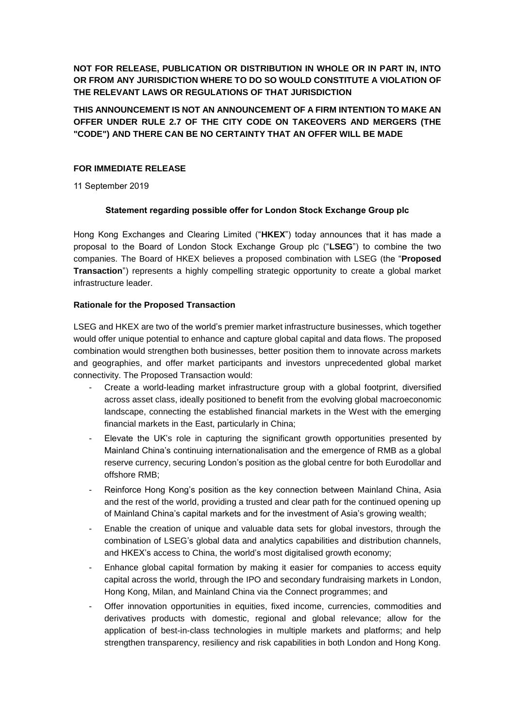**NOT FOR RELEASE, PUBLICATION OR DISTRIBUTION IN WHOLE OR IN PART IN, INTO OR FROM ANY JURISDICTION WHERE TO DO SO WOULD CONSTITUTE A VIOLATION OF THE RELEVANT LAWS OR REGULATIONS OF THAT JURISDICTION**

**THIS ANNOUNCEMENT IS NOT AN ANNOUNCEMENT OF A FIRM INTENTION TO MAKE AN OFFER UNDER RULE 2.7 OF THE CITY CODE ON TAKEOVERS AND MERGERS (THE "CODE") AND THERE CAN BE NO CERTAINTY THAT AN OFFER WILL BE MADE**

# **FOR IMMEDIATE RELEASE**

11 September 2019

# **Statement regarding possible offer for London Stock Exchange Group plc**

Hong Kong Exchanges and Clearing Limited ("**HKEX**") today announces that it has made a proposal to the Board of London Stock Exchange Group plc ("**LSEG**") to combine the two companies. The Board of HKEX believes a proposed combination with LSEG (the "**Proposed Transaction**") represents a highly compelling strategic opportunity to create a global market infrastructure leader.

# **Rationale for the Proposed Transaction**

LSEG and HKEX are two of the world's premier market infrastructure businesses, which together would offer unique potential to enhance and capture global capital and data flows. The proposed combination would strengthen both businesses, better position them to innovate across markets and geographies, and offer market participants and investors unprecedented global market connectivity. The Proposed Transaction would:

- Create a world-leading market infrastructure group with a global footprint, diversified across asset class, ideally positioned to benefit from the evolving global macroeconomic landscape, connecting the established financial markets in the West with the emerging financial markets in the East, particularly in China;
- Elevate the UK's role in capturing the significant growth opportunities presented by Mainland China's continuing internationalisation and the emergence of RMB as a global reserve currency, securing London's position as the global centre for both Eurodollar and offshore RMB;
- Reinforce Hong Kong's position as the key connection between Mainland China, Asia and the rest of the world, providing a trusted and clear path for the continued opening up of Mainland China's capital markets and for the investment of Asia's growing wealth;
- Enable the creation of unique and valuable data sets for global investors, through the combination of LSEG's global data and analytics capabilities and distribution channels, and HKEX's access to China, the world's most digitalised growth economy;
- Enhance global capital formation by making it easier for companies to access equity capital across the world, through the IPO and secondary fundraising markets in London, Hong Kong, Milan, and Mainland China via the Connect programmes; and
- Offer innovation opportunities in equities, fixed income, currencies, commodities and derivatives products with domestic, regional and global relevance; allow for the application of best-in-class technologies in multiple markets and platforms; and help strengthen transparency, resiliency and risk capabilities in both London and Hong Kong.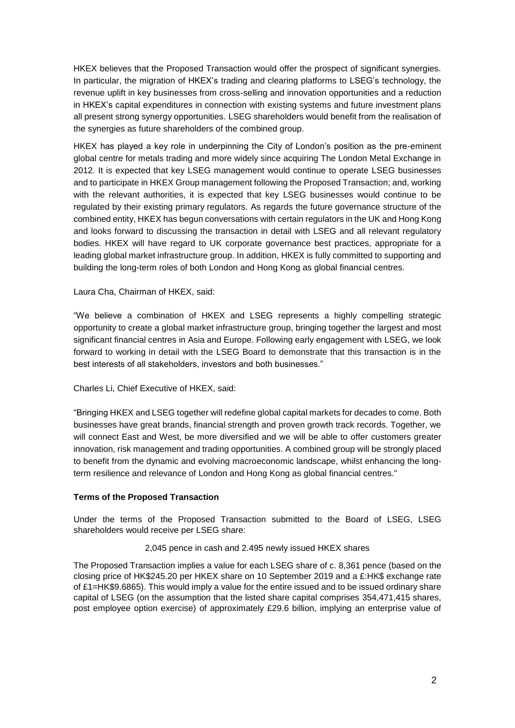HKEX believes that the Proposed Transaction would offer the prospect of significant synergies. In particular, the migration of HKEX's trading and clearing platforms to LSEG's technology, the revenue uplift in key businesses from cross-selling and innovation opportunities and a reduction in HKEX's capital expenditures in connection with existing systems and future investment plans all present strong synergy opportunities. LSEG shareholders would benefit from the realisation of the synergies as future shareholders of the combined group.

HKEX has played a key role in underpinning the City of London's position as the pre-eminent global centre for metals trading and more widely since acquiring The London Metal Exchange in 2012. It is expected that key LSEG management would continue to operate LSEG businesses and to participate in HKEX Group management following the Proposed Transaction; and, working with the relevant authorities, it is expected that key LSEG businesses would continue to be regulated by their existing primary regulators. As regards the future governance structure of the combined entity, HKEX has begun conversations with certain regulators in the UK and Hong Kong and looks forward to discussing the transaction in detail with LSEG and all relevant regulatory bodies. HKEX will have regard to UK corporate governance best practices, appropriate for a leading global market infrastructure group. In addition, HKEX is fully committed to supporting and building the long-term roles of both London and Hong Kong as global financial centres.

# Laura Cha, Chairman of HKEX, said:

"We believe a combination of HKEX and LSEG represents a highly compelling strategic opportunity to create a global market infrastructure group, bringing together the largest and most significant financial centres in Asia and Europe. Following early engagement with LSEG, we look forward to working in detail with the LSEG Board to demonstrate that this transaction is in the best interests of all stakeholders, investors and both businesses."

# Charles Li, Chief Executive of HKEX, said:

"Bringing HKEX and LSEG together will redefine global capital markets for decades to come. Both businesses have great brands, financial strength and proven growth track records. Together, we will connect East and West, be more diversified and we will be able to offer customers greater innovation, risk management and trading opportunities. A combined group will be strongly placed to benefit from the dynamic and evolving macroeconomic landscape, whilst enhancing the longterm resilience and relevance of London and Hong Kong as global financial centres."

# **Terms of the Proposed Transaction**

Under the terms of the Proposed Transaction submitted to the Board of LSEG, LSEG shareholders would receive per LSEG share:

#### 2,045 pence in cash and 2.495 newly issued HKEX shares

The Proposed Transaction implies a value for each LSEG share of c. 8,361 pence (based on the closing price of HK\$245.20 per HKEX share on 10 September 2019 and a £:HK\$ exchange rate of £1=HK\$9.6865). This would imply a value for the entire issued and to be issued ordinary share capital of LSEG (on the assumption that the listed share capital comprises 354,471,415 shares, post employee option exercise) of approximately £29.6 billion, implying an enterprise value of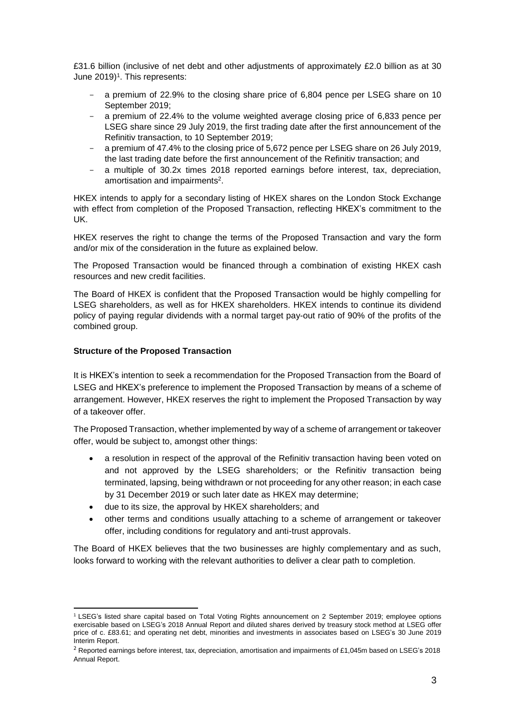£31.6 billion (inclusive of net debt and other adjustments of approximately £2.0 billion as at 30 June 2019)<sup>1</sup>. This represents:

- a premium of 22.9% to the closing share price of 6,804 pence per LSEG share on 10 September 2019;
- a premium of 22.4% to the volume weighted average closing price of 6,833 pence per LSEG share since 29 July 2019, the first trading date after the first announcement of the Refinitiv transaction, to 10 September 2019;
- a premium of 47.4% to the closing price of 5,672 pence per LSEG share on 26 July 2019, the last trading date before the first announcement of the Refinitiv transaction; and
- a multiple of 30.2x times 2018 reported earnings before interest, tax, depreciation, amortisation and impairments 2 .

HKEX intends to apply for a secondary listing of HKEX shares on the London Stock Exchange with effect from completion of the Proposed Transaction, reflecting HKEX's commitment to the UK.

HKEX reserves the right to change the terms of the Proposed Transaction and vary the form and/or mix of the consideration in the future as explained below.

The Proposed Transaction would be financed through a combination of existing HKEX cash resources and new credit facilities.

The Board of HKEX is confident that the Proposed Transaction would be highly compelling for LSEG shareholders, as well as for HKEX shareholders. HKEX intends to continue its dividend policy of paying regular dividends with a normal target pay-out ratio of 90% of the profits of the combined group.

# **Structure of the Proposed Transaction**

It is HKEX's intention to seek a recommendation for the Proposed Transaction from the Board of LSEG and HKEX's preference to implement the Proposed Transaction by means of a scheme of arrangement. However, HKEX reserves the right to implement the Proposed Transaction by way of a takeover offer.

The Proposed Transaction, whether implemented by way of a scheme of arrangement or takeover offer, would be subject to, amongst other things:

- a resolution in respect of the approval of the Refinitiv transaction having been voted on and not approved by the LSEG shareholders; or the Refinitiv transaction being terminated, lapsing, being withdrawn or not proceeding for any other reason; in each case by 31 December 2019 or such later date as HKEX may determine;
- due to its size, the approval by HKEX shareholders; and
- other terms and conditions usually attaching to a scheme of arrangement or takeover offer, including conditions for regulatory and anti-trust approvals.

The Board of HKEX believes that the two businesses are highly complementary and as such, looks forward to working with the relevant authorities to deliver a clear path to completion.

<sup>1</sup> <sup>1</sup> LSEG's listed share capital based on Total Voting Rights announcement on 2 September 2019; employee options exercisable based on LSEG's 2018 Annual Report and diluted shares derived by treasury stock method at LSEG offer price of c. £83.61; and operating net debt, minorities and investments in associates based on LSEG's 30 June 2019 Interim Report.

 $^2$  Reported earnings before interest, tax, depreciation, amortisation and impairments of £1,045m based on LSEG's 2018 Annual Report.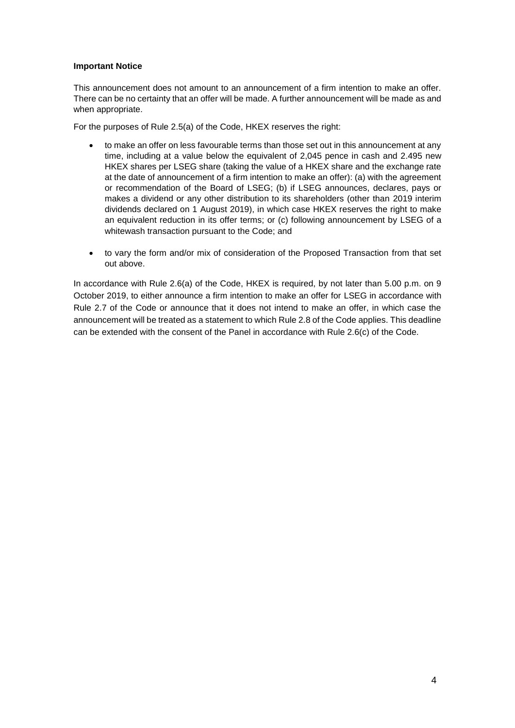### **Important Notice**

This announcement does not amount to an announcement of a firm intention to make an offer. There can be no certainty that an offer will be made. A further announcement will be made as and when appropriate.

For the purposes of Rule 2.5(a) of the Code, HKEX reserves the right:

- to make an offer on less favourable terms than those set out in this announcement at any time, including at a value below the equivalent of 2,045 pence in cash and 2.495 new HKEX shares per LSEG share (taking the value of a HKEX share and the exchange rate at the date of announcement of a firm intention to make an offer): (a) with the agreement or recommendation of the Board of LSEG; (b) if LSEG announces, declares, pays or makes a dividend or any other distribution to its shareholders (other than 2019 interim dividends declared on 1 August 2019), in which case HKEX reserves the right to make an equivalent reduction in its offer terms; or (c) following announcement by LSEG of a whitewash transaction pursuant to the Code; and
- to vary the form and/or mix of consideration of the Proposed Transaction from that set out above.

In accordance with Rule 2.6(a) of the Code, HKEX is required, by not later than 5.00 p.m. on 9 October 2019, to either announce a firm intention to make an offer for LSEG in accordance with Rule 2.7 of the Code or announce that it does not intend to make an offer, in which case the announcement will be treated as a statement to which Rule 2.8 of the Code applies. This deadline can be extended with the consent of the Panel in accordance with Rule 2.6(c) of the Code.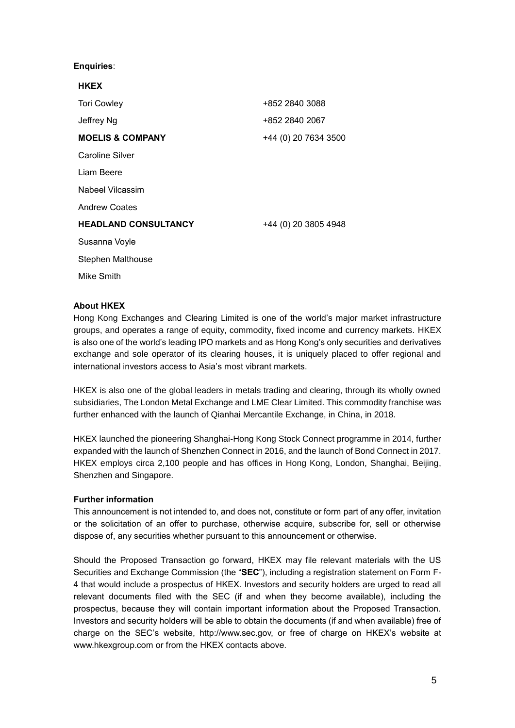# **Enquiries**:

| <b>HKEX</b>                 |                      |
|-----------------------------|----------------------|
| <b>Tori Cowley</b>          | +852 2840 3088       |
| Jeffrey Ng                  | +852 2840 2067       |
| <b>MOELIS &amp; COMPANY</b> | +44 (0) 20 7634 3500 |
| <b>Caroline Silver</b>      |                      |
| Liam Beere                  |                      |
| Nabeel Vilcassim            |                      |
| <b>Andrew Coates</b>        |                      |
| <b>HEADLAND CONSULTANCY</b> | +44 (0) 20 3805 4948 |
| Susanna Voyle               |                      |
| <b>Stephen Malthouse</b>    |                      |
| Mike Smith                  |                      |

# **About HKEX**

Hong Kong Exchanges and Clearing Limited is one of the world's major market infrastructure groups, and operates a range of equity, commodity, fixed income and currency markets. HKEX is also one of the world's leading IPO markets and as Hong Kong's only securities and derivatives exchange and sole operator of its clearing houses, it is uniquely placed to offer regional and international investors access to Asia's most vibrant markets.

HKEX is also one of the global leaders in metals trading and clearing, through its wholly owned subsidiaries, The London Metal Exchange and LME Clear Limited. This commodity franchise was further enhanced with the launch of Qianhai Mercantile Exchange, in China, in 2018.

HKEX launched the pioneering Shanghai-Hong Kong Stock Connect programme in 2014, further expanded with the launch of Shenzhen Connect in 2016, and the launch of Bond Connect in 2017. HKEX employs circa 2,100 people and has offices in Hong Kong, London, Shanghai, Beijing, Shenzhen and Singapore.

# **Further information**

This announcement is not intended to, and does not, constitute or form part of any offer, invitation or the solicitation of an offer to purchase, otherwise acquire, subscribe for, sell or otherwise dispose of, any securities whether pursuant to this announcement or otherwise.

Should the Proposed Transaction go forward, HKEX may file relevant materials with the US Securities and Exchange Commission (the "**SEC**"), including a registration statement on Form F-4 that would include a prospectus of HKEX. Investors and security holders are urged to read all relevant documents filed with the SEC (if and when they become available), including the prospectus, because they will contain important information about the Proposed Transaction. Investors and security holders will be able to obtain the documents (if and when available) free of charge on the SEC's website, http://www.sec.gov, or free of charge on HKEX's website at [www.hkexgroup.com](http://www.hkexgroup.com/) or from the HKEX contacts above.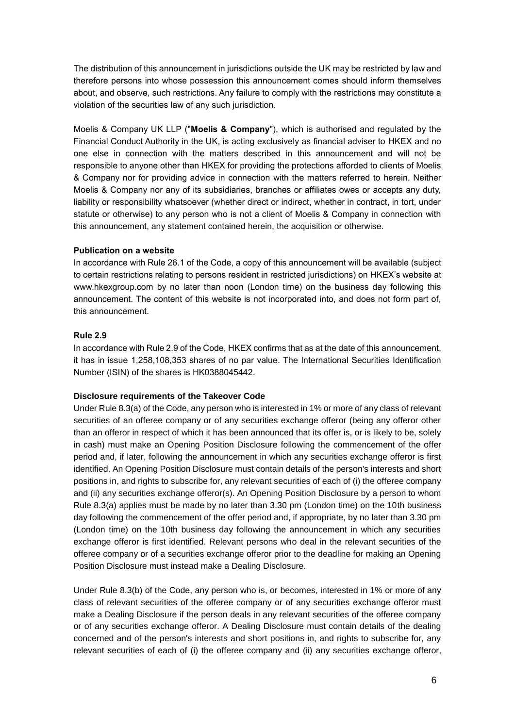The distribution of this announcement in jurisdictions outside the UK may be restricted by law and therefore persons into whose possession this announcement comes should inform themselves about, and observe, such restrictions. Any failure to comply with the restrictions may constitute a violation of the securities law of any such jurisdiction.

Moelis & Company UK LLP ("**Moelis & Company**"), which is authorised and regulated by the Financial Conduct Authority in the UK, is acting exclusively as financial adviser to HKEX and no one else in connection with the matters described in this announcement and will not be responsible to anyone other than HKEX for providing the protections afforded to clients of Moelis & Company nor for providing advice in connection with the matters referred to herein. Neither Moelis & Company nor any of its subsidiaries, branches or affiliates owes or accepts any duty, liability or responsibility whatsoever (whether direct or indirect, whether in contract, in tort, under statute or otherwise) to any person who is not a client of Moelis & Company in connection with this announcement, any statement contained herein, the acquisition or otherwise.

# **Publication on a website**

In accordance with Rule 26.1 of the Code, a copy of this announcement will be available (subject to certain restrictions relating to persons resident in restricted jurisdictions) on HKEX's website at [www.hkexgroup.com](http://www.hkexgroup.com/) by no later than noon (London time) on the business day following this announcement. The content of this website is not incorporated into, and does not form part of, this announcement.

### **Rule 2.9**

In accordance with Rule 2.9 of the Code, HKEX confirms that as at the date of this announcement, it has in issue 1,258,108,353 shares of no par value. The International Securities Identification Number (ISIN) of the shares is HK0388045442.

# **Disclosure requirements of the Takeover Code**

Under Rule 8.3(a) of the Code, any person who is interested in 1% or more of any class of relevant securities of an offeree company or of any securities exchange offeror (being any offeror other than an offeror in respect of which it has been announced that its offer is, or is likely to be, solely in cash) must make an Opening Position Disclosure following the commencement of the offer period and, if later, following the announcement in which any securities exchange offeror is first identified. An Opening Position Disclosure must contain details of the person's interests and short positions in, and rights to subscribe for, any relevant securities of each of (i) the offeree company and (ii) any securities exchange offeror(s). An Opening Position Disclosure by a person to whom Rule 8.3(a) applies must be made by no later than 3.30 pm (London time) on the 10th business day following the commencement of the offer period and, if appropriate, by no later than 3.30 pm (London time) on the 10th business day following the announcement in which any securities exchange offeror is first identified. Relevant persons who deal in the relevant securities of the offeree company or of a securities exchange offeror prior to the deadline for making an Opening Position Disclosure must instead make a Dealing Disclosure.

Under Rule 8.3(b) of the Code, any person who is, or becomes, interested in 1% or more of any class of relevant securities of the offeree company or of any securities exchange offeror must make a Dealing Disclosure if the person deals in any relevant securities of the offeree company or of any securities exchange offeror. A Dealing Disclosure must contain details of the dealing concerned and of the person's interests and short positions in, and rights to subscribe for, any relevant securities of each of (i) the offeree company and (ii) any securities exchange offeror,